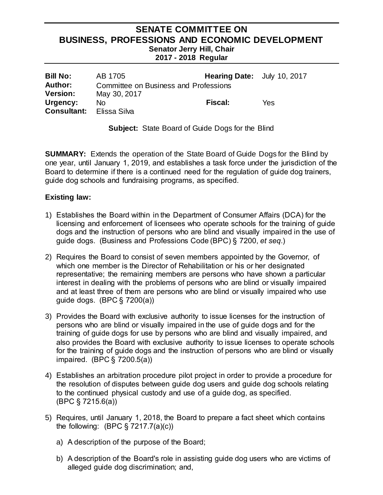### **SENATE COMMITTEE ON BUSINESS, PROFESSIONS AND ECONOMIC DEVELOPMENT Senator Jerry Hill, Chair 2017 - 2018 Regular**

| <b>Bill No:</b><br><b>Author:</b> | AB 1705                                               | <b>Hearing Date:</b> July 10, 2017 |     |
|-----------------------------------|-------------------------------------------------------|------------------------------------|-----|
| <b>Version:</b>                   | Committee on Business and Professions<br>May 30, 2017 |                                    |     |
| Urgency:<br><b>Consultant:</b>    | Nο<br>Elissa Silva                                    | <b>Fiscal:</b>                     | Yes |

**Subject:** State Board of Guide Dogs for the Blind

**SUMMARY:** Extends the operation of the State Board of Guide Dogs for the Blind by one year, until January 1, 2019, and establishes a task force under the jurisdiction of the Board to determine if there is a continued need for the regulation of guide dog trainers, guide dog schools and fundraising programs, as specified.

### **Existing law:**

- 1) Establishes the Board within in the Department of Consumer Affairs (DCA) for the licensing and enforcement of licensees who operate schools for the training of guide dogs and the instruction of persons who are blind and visually impaired in the use of guide dogs. (Business and Professions Code (BPC) § 7200, *et seq*.)
- 2) Requires the Board to consist of seven members appointed by the Governor, of which one member is the Director of Rehabilitation or his or her designated representative; the remaining members are persons who have shown a particular interest in dealing with the problems of persons who are blind or visually impaired and at least three of them are persons who are blind or visually impaired who use guide dogs. (BPC § 7200(a))
- 3) Provides the Board with exclusive authority to issue licenses for the instruction of persons who are blind or visually impaired in the use of guide dogs and for the training of guide dogs for use by persons who are blind and visually impaired, and also provides the Board with exclusive authority to issue licenses to operate schools for the training of guide dogs and the instruction of persons who are blind or visually impaired. (BPC § 7200.5(a))
- 4) Establishes an arbitration procedure pilot project in order to provide a procedure for the resolution of disputes between guide dog users and guide dog schools relating to the continued physical custody and use of a guide dog, as specified. (BPC § 7215.6(a))
- 5) Requires, until January 1, 2018, the Board to prepare a fact sheet which contains the following:  $(BPC \S 7217.7(a)(c))$ 
	- a) A description of the purpose of the Board;
	- b) A description of the Board's role in assisting guide dog users who are victims of alleged guide dog discrimination; and,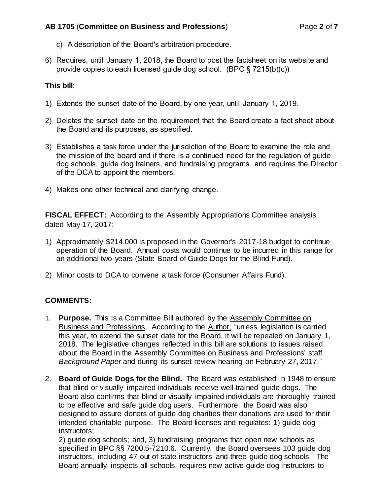### **AB 1705** (**Committee on Business and Professions**) Page **2** of **7**

- c) A description of the Board's arbitration procedure.
- 6) Requires, until January 1, 2018, the Board to post the factsheet on its website and provide copies to each licensed guide dog school. (BPC § 7215(b)(c))

# **This bill**:

- 1) Extends the sunset date of the Board, by one year, until January 1, 2019.
- 2) Deletes the sunset date on the requirement that the Board create a fact sheet about the Board and its purposes, as specified.
- 3) Establishes a task force under the jurisdiction of the Board to examine the role and the mission of the board and if there is a continued need for the regulation of guide dog schools, guide dog trainers, and fundraising programs, and requires the Director of the DCA to appoint the members.
- 4) Makes one other technical and clarifying change.

**FISCAL EFFECT:** According to the Assembly Appropriations Committee analysis dated May 17, 2017:

- 1) Approximately \$214,000 is proposed in the Governor's 2017-18 budget to continue operation of the Board. Annual costs would continue to be incurred in this range for an additional two years (State Board of Guide Dogs for the Blind Fund).
- 2) Minor costs to DCA to convene a task force (Consumer Affairs Fund).

# **COMMENTS:**

- 1. **Purpose.** This is a Committee Bill authored by the Assembly Committee on Business and Professions. According to the Author, "unless legislation is carried this year, to extend the sunset date for the Board, it will be repealed on January 1, 2018. The legislative changes reflected in this bill are solutions to issues raised about the Board in the Assembly Committee on Business and Professions' staff *Background Paper* and during its sunset review hearing on February 27, 2017."
- 2. **Board of Guide Dogs for the Blind.** The Board was established in 1948 to ensure that blind or visually impaired individuals receive well-trained guide dogs. The Board also confirms that blind or visually impaired individuals are thoroughly trained to be effective and safe guide dog users. Furthermore, the Board was also designed to assure donors of guide dog charities their donations are used for their intended charitable purpose. The Board licenses and regulates: 1) guide dog instructors;

2) guide dog schools; and, 3) fundraising programs that open new schools as specified in BPC §§ 7200.5-7210.6. Currently, the Board oversees 103 guide dog instructors, including 47 out of state instructors and three guide dog schools. The Board annually inspects all schools, requires new active guide dog instructors to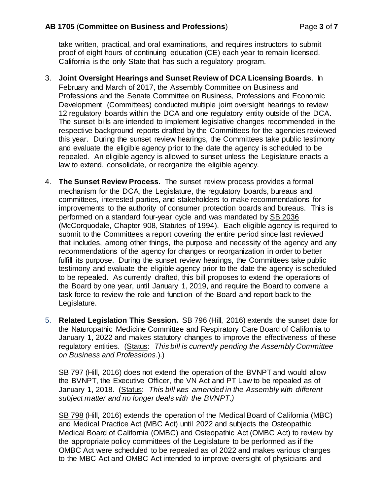take written, practical, and oral examinations, and requires instructors to submit proof of eight hours of continuing education (CE) each year to remain licensed. California is the only State that has such a regulatory program.

- 3. **Joint Oversight Hearings and Sunset Review of DCA Licensing Boards***.* In February and March of 2017, the Assembly Committee on Business and Professions and the Senate Committee on Business, Professions and Economic Development (Committees) conducted multiple joint oversight hearings to review 12 regulatory boards within the DCA and one regulatory entity outside of the DCA. The sunset bills are intended to implement legislative changes recommended in the respective background reports drafted by the Committees for the agencies reviewed this year. During the sunset review hearings, the Committees take public testimony and evaluate the eligible agency prior to the date the agency is scheduled to be repealed. An eligible agency is allowed to sunset unless the Legislature enacts a law to extend, consolidate, or reorganize the eligible agency.
- 4. **The Sunset Review Process.** The sunset review process provides a formal mechanism for the DCA, the Legislature, the regulatory boards, bureaus and committees, interested parties, and stakeholders to make recommendations for improvements to the authority of consumer protection boards and bureaus. This is performed on a standard four-year cycle and was mandated by SB 2036 (McCorquodale, Chapter 908, Statutes of 1994). Each eligible agency is required to submit to the Committees a report covering the entire period since last reviewed that includes, among other things, the purpose and necessity of the agency and any recommendations of the agency for changes or reorganization in order to better fulfill its purpose. During the sunset review hearings, the Committees take public testimony and evaluate the eligible agency prior to the date the agency is scheduled to be repealed. As currently drafted, this bill proposes to extend the operations of the Board by one year, until January 1, 2019, and require the Board to convene a task force to review the role and function of the Board and report back to the Legislature.
- 5. **Related Legislation This Session.** SB 796 (Hill, 2016) extends the sunset date for the Naturopathic Medicine Committee and Respiratory Care Board of California to January 1, 2022 and makes statutory changes to improve the effectiveness of these regulatory entities. (Status: *This bill is currently pending the Assembly Committee on Business and Professions*.).)

SB 797 (Hill, 2016) does not extend the operation of the BVNPT and would allow the BVNPT, the Executive Officer, the VN Act and PT Law to be repealed as of January 1, 2018. (Status: *This bill was amended in the Assembly with different subject matter and no longer deals with the BVNPT.)*

SB 798 (Hill, 2016) extends the operation of the Medical Board of California (MBC) and Medical Practice Act (MBC Act) until 2022 and subjects the Osteopathic Medical Board of California (OMBC) and Osteopathic Act (OMBC Act) to review by the appropriate policy committees of the Legislature to be performed as if the OMBC Act were scheduled to be repealed as of 2022 and makes various changes to the MBC Act and OMBC Act intended to improve oversight of physicians and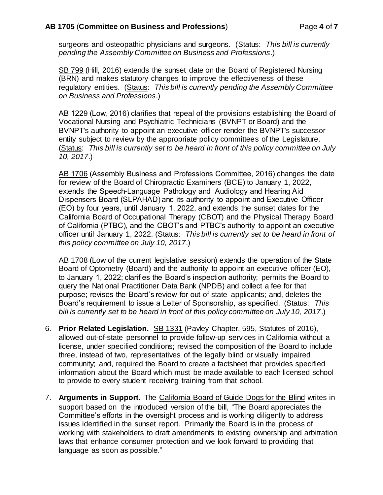surgeons and osteopathic physicians and surgeons. (Status: *This bill is currently pending the Assembly Committee on Business and Professions*.)

SB 799 (Hill, 2016) extends the sunset date on the Board of Registered Nursing (BRN) and makes statutory changes to improve the effectiveness of these regulatory entities. (Status: *This bill is currently pending the Assembly Committee on Business and Professions*.)

AB 1229 (Low, 2016) clarifies that repeal of the provisions establishing the Board of Vocational Nursing and Psychiatric Technicians (BVNPT or Board) and the BVNPT's authority to appoint an executive officer render the BVNPT's successor entity subject to review by the appropriate policy committees of the Legislature. (Status: *This bill is currently set to be heard in front of this policy committee on July 10, 2017*.)

AB 1706 (Assembly Business and Professions Committee, 2016) changes the date for review of the Board of Chiropractic Examiners (BCE) to January 1, 2022, extends the Speech-Language Pathology and Audiology and Hearing Aid Dispensers Board (SLPAHAD) and its authority to appoint and Executive Officer (EO) by four years, until January 1, 2022, and extends the sunset dates for the California Board of Occupational Therapy (CBOT) and the Physical Therapy Board of California (PTBC), and the CBOT's and PTBC's authority to appoint an executive officer until January 1, 2022. (Status: *This bill is currently set to be heard in front of this policy committee on July 10, 2017*.)

AB 1708 (Low of the current legislative session) extends the operation of the State Board of Optometry (Board) and the authority to appoint an executive officer (EO), to January 1, 2022; clarifies the Board's inspection authority; permits the Board to query the National Practitioner Data Bank (NPDB) and collect a fee for that purpose; revises the Board's review for out-of-state applicants; and, deletes the Board's requirement to issue a Letter of Sponsorship, as specified. (Status: *This bill is currently set to be heard in front of this policy committee on July 10, 2017*.)

- 6. **Prior Related Legislation.** SB 1331 (Pavley Chapter, 595, Statutes of 2016), allowed out-of-state personnel to provide follow-up services in California without a license, under specified conditions; revised the composition of the Board to include three, instead of two, representatives of the legally blind or visually impaired community; and, required the Board to create a factsheet that provides specified information about the Board which must be made available to each licensed school to provide to every student receiving training from that school.
- 7. **Arguments in Support.** The California Board of Guide Dogs for the Blind writes in support based on the introduced version of the bill, "The Board appreciates the Committee's efforts in the oversight process and is working diligently to address issues identified in the sunset report. Primarily the Board is in the process of working with stakeholders to draft amendments to existing ownership and arbitration laws that enhance consumer protection and we look forward to providing that language as soon as possible."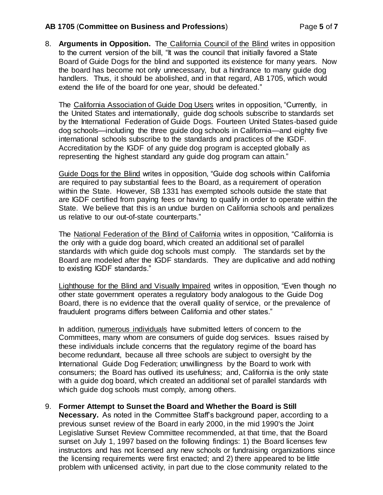### **AB 1705** (**Committee on Business and Professions**) Page **5** of **7**

8. **Arguments in Opposition.** The California Council of the Blind writes in opposition to the current version of the bill, "It was the council that initially favored a State Board of Guide Dogs for the blind and supported its existence for many years. Now the board has become not only unnecessary, but a hindrance to many guide dog handlers. Thus, it should be abolished, and in that regard, AB 1705, which would extend the life of the board for one year, should be defeated."

The California Association of Guide Dog Users writes in opposition, "Currently, in the United States and internationally, guide dog schools subscribe to standards set by the International Federation of Guide Dogs. Fourteen United States-based guide dog schools—including the three guide dog schools in California—and eighty five international schools subscribe to the standards and practices of the IGDF. Accreditation by the IGDF of any guide dog program is accepted globally as representing the highest standard any guide dog program can attain."

Guide Dogs for the Blind writes in opposition, "Guide dog schools within California are required to pay substantial fees to the Board, as a requirement of operation within the State. However, SB 1331 has exempted schools outside the state that are IGDF certified from paying fees or having to qualify in order to operate within the State. We believe that this is an undue burden on California schools and penalizes us relative to our out-of-state counterparts."

The National Federation of the Blind of California writes in opposition, "California is the only with a guide dog board, which created an additional set of parallel standards with which guide dog schools must comply. The standards set by the Board are modeled after the IGDF standards. They are duplicative and add nothing to existing IGDF standards."

Lighthouse for the Blind and Visually Impaired writes in opposition, "Even though no other state government operates a regulatory body analogous to the Guide Dog Board, there is no evidence that the overall quality of service, or the prevalence of fraudulent programs differs between California and other states."

In addition, numerous individuals have submitted letters of concern to the Committees, many whom are consumers of guide dog services. Issues raised by these individuals include concerns that the regulatory regime of the board has become redundant, because all three schools are subject to oversight by the International Guide Dog Federation; unwillingness by the Board to work with consumers; the Board has outlived its usefulness; and, California is the only state with a guide dog board, which created an additional set of parallel standards with which guide dog schools must comply, among others.

### 9. **Former Attempt to Sunset the Board and Whether the Board is Still Necessary.** As noted in the Committee Staff's background paper, according to a previous sunset review of the Board in early 2000, in the mid 1990's the Joint Legislative Sunset Review Committee recommended, at that time, that the Board sunset on July 1, 1997 based on the following findings: 1) the Board licenses few instructors and has not licensed any new schools or fundraising organizations since the licensing requirements were first enacted; and 2) there appeared to be little problem with unlicensed activity, in part due to the close community related to the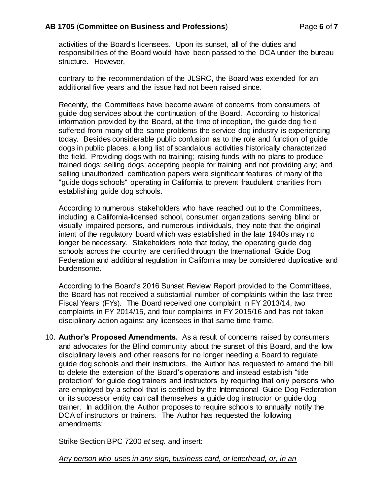#### **AB 1705** (**Committee on Business and Professions**) Page **6** of **7**

activities of the Board's licensees. Upon its sunset, all of the duties and responsibilities of the Board would have been passed to the DCA under the bureau structure. However,

contrary to the recommendation of the JLSRC, the Board was extended for an additional five years and the issue had not been raised since.

Recently, the Committees have become aware of concerns from consumers of guide dog services about the continuation of the Board. According to historical information provided by the Board, at the time of inception, the guide dog field suffered from many of the same problems the service dog industry is experiencing today. Besides considerable public confusion as to the role and function of guide dogs in public places, a long list of scandalous activities historically characterized the field. Providing dogs with no training; raising funds with no plans to produce trained dogs; selling dogs; accepting people for training and not providing any; and selling unauthorized certification papers were significant features of many of the "guide dogs schools" operating in California to prevent fraudulent charities from establishing guide dog schools.

According to numerous stakeholders who have reached out to the Committees, including a California-licensed school, consumer organizations serving blind or visually impaired persons, and numerous individuals, they note that the original intent of the regulatory board which was established in the late 1940s may no longer be necessary. Stakeholders note that today, the operating guide dog schools across the country are certified through the International Guide Dog Federation and additional regulation in California may be considered duplicative and burdensome.

According to the Board's 2016 Sunset Review Report provided to the Committees, the Board has not received a substantial number of complaints within the last three Fiscal Years (FYs). The Board received one complaint in FY 2013/14, two complaints in FY 2014/15, and four complaints in FY 2015/16 and has not taken disciplinary action against any licensees in that same time frame.

10. **Author's Proposed Amendments.** As a result of concerns raised by consumers and advocates for the Blind community about the sunset of this Board, and the low disciplinary levels and other reasons for no longer needing a Board to regulate guide dog schools and their instructors, the Author has requested to amend the bill to delete the extension of the Board's operations and instead establish "title protection" for guide dog trainers and instructors by requiring that only persons who are employed by a school that is certified by the International Guide Dog Federation or its successor entity can call themselves a guide dog instructor or guide dog trainer. In addition, the Author proposes to require schools to annually notify the DCA of instructors or trainers. The Author has requested the following amendments:

Strike Section BPC 7200 *et seq.* and insert:

*Any person who uses in any sign, business card, or letterhead, or, in an*